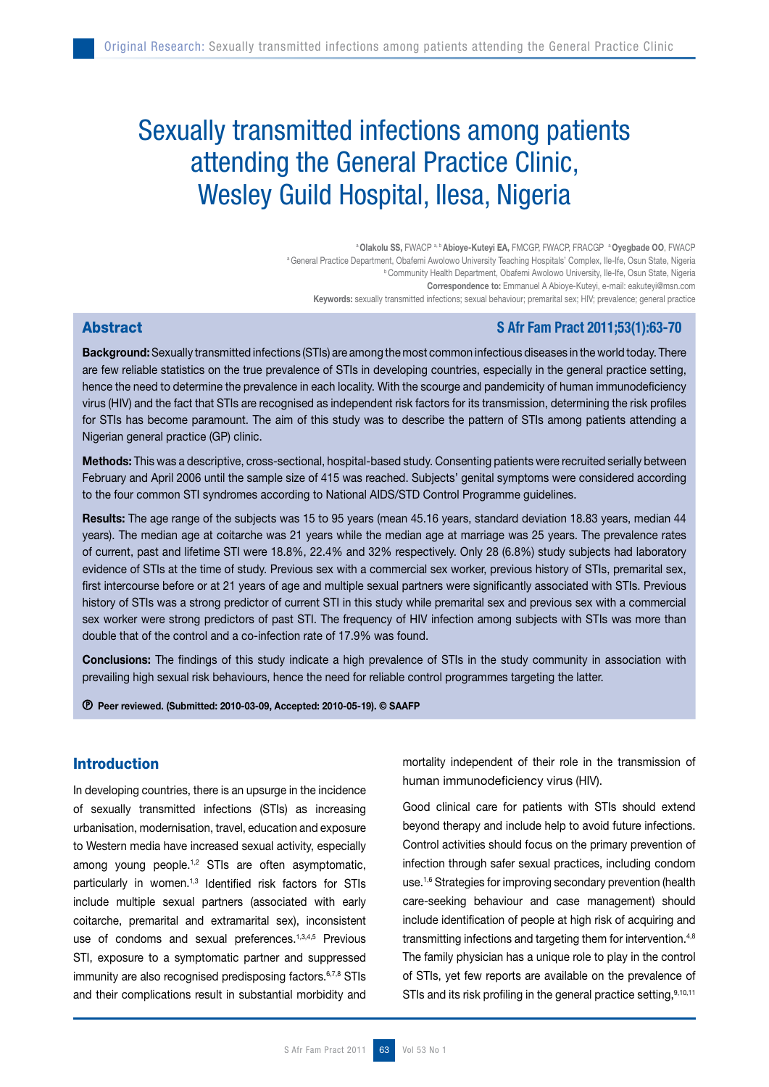# Sexually transmitted infections among patients attending the General Practice Clinic, Wesley Guild Hospital, Ilesa, Nigeria

a Olakolu SS, FWACP a,b Abioye-Kuteyi EA, FMCGP, FWACP, FRACGP a Oyegbade OO, FWACP a General Practice Department, Obafemi Awolowo University Teaching Hospitals' Complex, Ile-Ife, Osun State, Nigeria **b Community Health Department, Obafemi Awolowo University, Ile-Ife, Osun State, Nigeria** Correspondence to: Emmanuel A Abioye-Kuteyi, e-mail: eakuteyi@msn.com Keywords: sexually transmitted infections; sexual behaviour; premarital sex; HIV; prevalence; general practice

# Abstract **Section Abstract Section Abstract S** Afr Fam Pract 2011;53(1):63-70

Background: Sexually transmitted infections (STIs) are among the most common infectious diseases in the world today. There are few reliable statistics on the true prevalence of STIs in developing countries, especially in the general practice setting, hence the need to determine the prevalence in each locality. With the scourge and pandemicity of human immunodeficiency virus (HIV) and the fact that STIs are recognised as independent risk factors for its transmission, determining the risk profiles for STIs has become paramount. The aim of this study was to describe the pattern of STIs among patients attending a Nigerian general practice (GP) clinic.

Methods: This was a descriptive, cross-sectional, hospital-based study. Consenting patients were recruited serially between February and April 2006 until the sample size of 415 was reached. Subjects' genital symptoms were considered according to the four common STI syndromes according to National AIDS/STD Control Programme guidelines.

Results: The age range of the subjects was 15 to 95 years (mean 45.16 years, standard deviation 18.83 years, median 44 years). The median age at coitarche was 21 years while the median age at marriage was 25 years. The prevalence rates of current, past and lifetime STI were 18.8%, 22.4% and 32% respectively. Only 28 (6.8%) study subjects had laboratory evidence of STIs at the time of study. Previous sex with a commercial sex worker, previous history of STIs, premarital sex, first intercourse before or at 21 years of age and multiple sexual partners were significantly associated with STIs. Previous history of STIs was a strong predictor of current STI in this study while premarital sex and previous sex with a commercial sex worker were strong predictors of past STI. The frequency of HIV infection among subjects with STIs was more than double that of the control and a co-infection rate of 17.9% was found.

Conclusions: The findings of this study indicate a high prevalence of STIs in the study community in association with prevailing high sexual risk behaviours, hence the need for reliable control programmes targeting the latter.

Peer reviewed. (Submitted: 2010-03-09, Accepted: 2010-05-19). © SAAFP

# Introduction

In developing countries, there is an upsurge in the incidence of sexually transmitted infections (STIs) as increasing urbanisation, modernisation, travel, education and exposure to Western media have increased sexual activity, especially among young people.<sup>1,2</sup> STIs are often asymptomatic, particularly in women.1,3 Identified risk factors for STIs include multiple sexual partners (associated with early coitarche, premarital and extramarital sex), inconsistent use of condoms and sexual preferences.<sup>1,3,4,5</sup> Previous STI, exposure to a symptomatic partner and suppressed immunity are also recognised predisposing factors.<sup>6,7,8</sup> STIs and their complications result in substantial morbidity and mortality independent of their role in the transmission of human immunodeficiency virus (HIV).

Good clinical care for patients with STIs should extend beyond therapy and include help to avoid future infections. Control activities should focus on the primary prevention of infection through safer sexual practices, including condom use.<sup>1,6</sup> Strategies for improving secondary prevention (health care-seeking behaviour and case management) should include identification of people at high risk of acquiring and transmitting infections and targeting them for intervention.<sup>4,8</sup> The family physician has a unique role to play in the control of STIs, yet few reports are available on the prevalence of STIs and its risk profiling in the general practice setting, 9,10,11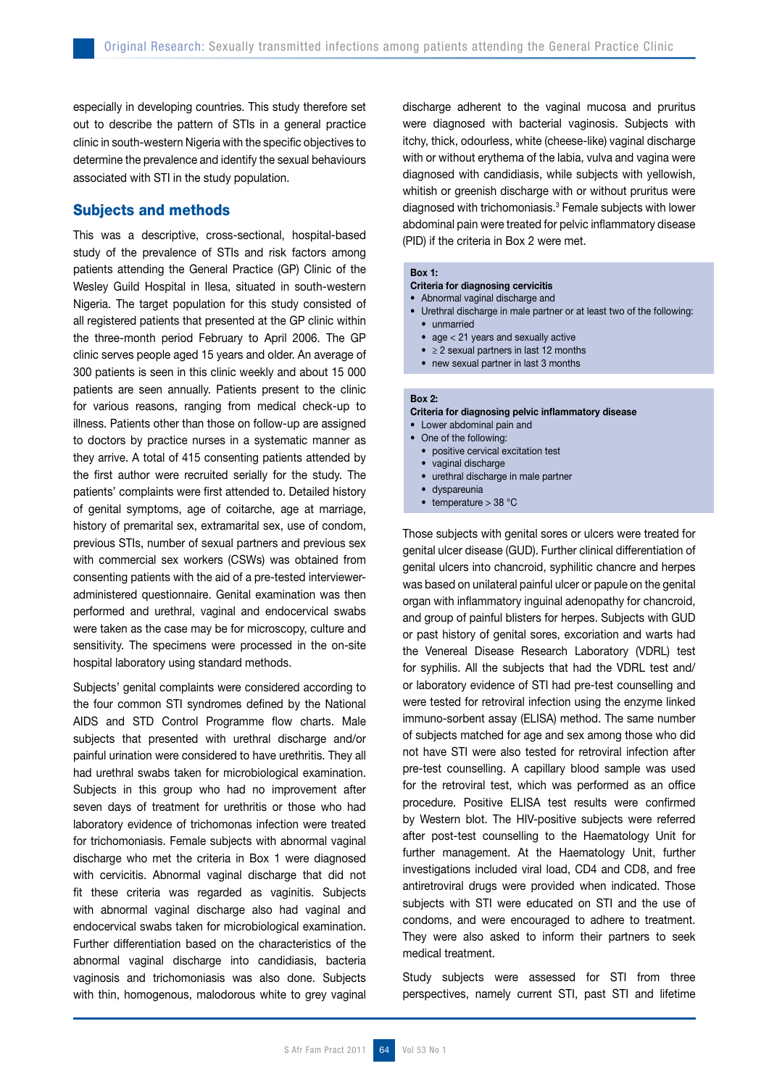especially in developing countries. This study therefore set out to describe the pattern of STIs in a general practice clinic in south-western Nigeria with the specific objectives to determine the prevalence and identify the sexual behaviours associated with STI in the study population.

### Subjects and methods

This was a descriptive, cross-sectional, hospital-based study of the prevalence of STIs and risk factors among patients attending the General Practice (GP) Clinic of the Wesley Guild Hospital in Ilesa, situated in south-western Nigeria. The target population for this study consisted of all registered patients that presented at the GP clinic within the three-month period February to April 2006. The GP clinic serves people aged 15 years and older. An average of 300 patients is seen in this clinic weekly and about 15 000 patients are seen annually. Patients present to the clinic for various reasons, ranging from medical check-up to illness. Patients other than those on follow-up are assigned to doctors by practice nurses in a systematic manner as they arrive. A total of 415 consenting patients attended by the first author were recruited serially for the study. The patients' complaints were first attended to. Detailed history of genital symptoms, age of coitarche, age at marriage, history of premarital sex, extramarital sex, use of condom, previous STIs, number of sexual partners and previous sex with commercial sex workers (CSWs) was obtained from consenting patients with the aid of a pre-tested intervieweradministered questionnaire. Genital examination was then performed and urethral, vaginal and endocervical swabs were taken as the case may be for microscopy, culture and sensitivity. The specimens were processed in the on-site hospital laboratory using standard methods.

Subjects' genital complaints were considered according to the four common STI syndromes defined by the National AIDS and STD Control Programme flow charts. Male subjects that presented with urethral discharge and/or painful urination were considered to have urethritis. They all had urethral swabs taken for microbiological examination. Subjects in this group who had no improvement after seven days of treatment for urethritis or those who had laboratory evidence of trichomonas infection were treated for trichomoniasis. Female subjects with abnormal vaginal discharge who met the criteria in Box 1 were diagnosed with cervicitis. Abnormal vaginal discharge that did not fit these criteria was regarded as vaginitis. Subjects with abnormal vaginal discharge also had vaginal and endocervical swabs taken for microbiological examination. Further differentiation based on the characteristics of the abnormal vaginal discharge into candidiasis, bacteria vaginosis and trichomoniasis was also done. Subjects with thin, homogenous, malodorous white to grey vaginal

discharge adherent to the vaginal mucosa and pruritus were diagnosed with bacterial vaginosis. Subjects with itchy, thick, odourless, white (cheese-like) vaginal discharge with or without erythema of the labia, vulva and vagina were diagnosed with candidiasis, while subjects with yellowish, whitish or greenish discharge with or without pruritus were diagnosed with trichomoniasis.<sup>3</sup> Female subjects with lower abdominal pain were treated for pelvic inflammatory disease (PID) if the criteria in Box 2 were met.

## Box 1:

- Criteria for diagnosing cervicitis
- Abnormal vaginal discharge and
- Urethral discharge in male partner or at least two of the following:
	- unmarried
	- age < 21 years and sexually active
	- ≥ 2 sexual partners in last 12 months
	- new sexual partner in last 3 months

#### Box 2:

#### Criteria for diagnosing pelvic inflammatory disease

- Lower abdominal pain and
- One of the following:
	- positive cervical excitation test
	- vaginal discharge
	- urethral discharge in male partner
	- dyspareunia
	- temperature > 38 °C

Those subjects with genital sores or ulcers were treated for genital ulcer disease (GUD). Further clinical differentiation of genital ulcers into chancroid, syphilitic chancre and herpes was based on unilateral painful ulcer or papule on the genital organ with inflammatory inguinal adenopathy for chancroid, and group of painful blisters for herpes. Subjects with GUD or past history of genital sores, excoriation and warts had the Venereal Disease Research Laboratory (VDRL) test for syphilis. All the subjects that had the VDRL test and/ or laboratory evidence of STI had pre-test counselling and were tested for retroviral infection using the enzyme linked immuno-sorbent assay (ELISA) method. The same number of subjects matched for age and sex among those who did not have STI were also tested for retroviral infection after pre-test counselling. A capillary blood sample was used for the retroviral test, which was performed as an office procedure. Positive ELISA test results were confirmed by Western blot. The HIV-positive subjects were referred after post-test counselling to the Haematology Unit for further management. At the Haematology Unit, further investigations included viral load, CD4 and CD8, and free antiretroviral drugs were provided when indicated. Those subjects with STI were educated on STI and the use of condoms, and were encouraged to adhere to treatment. They were also asked to inform their partners to seek medical treatment.

Study subjects were assessed for STI from three perspectives, namely current STI, past STI and lifetime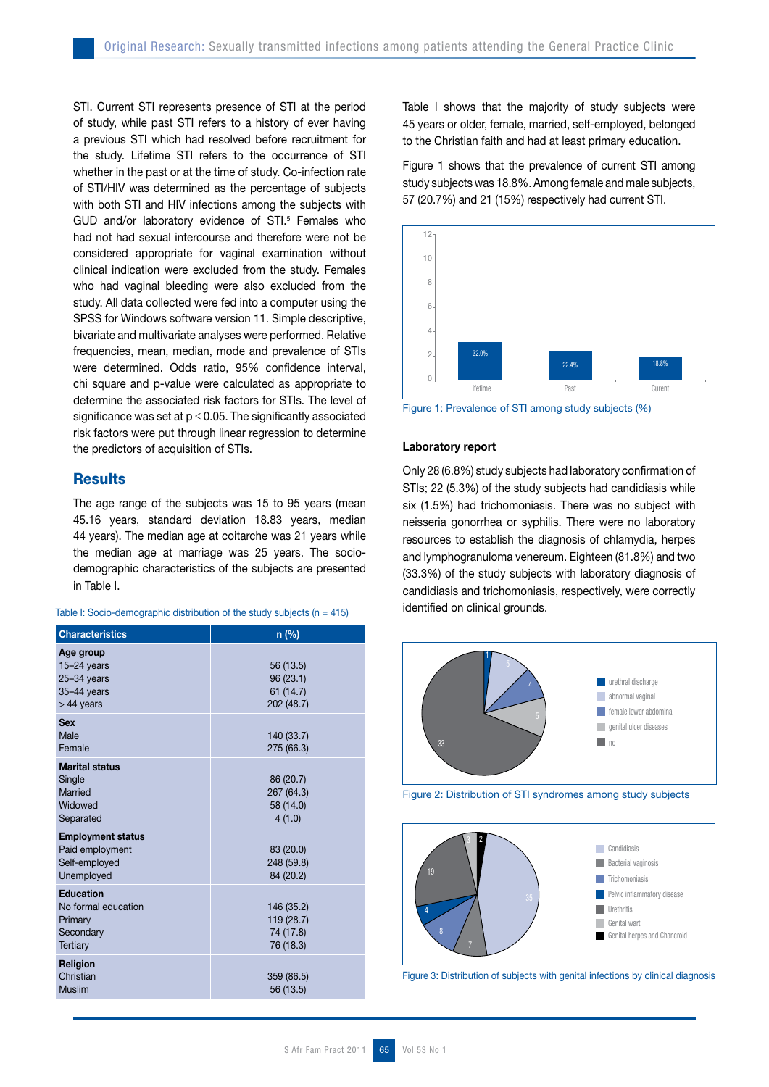STI. Current STI represents presence of STI at the period of study, while past STI refers to a history of ever having a previous STI which had resolved before recruitment for the study. Lifetime STI refers to the occurrence of STI whether in the past or at the time of study. Co-infection rate of STI/HIV was determined as the percentage of subjects with both STI and HIV infections among the subjects with GUD and/or laboratory evidence of STI.<sup>5</sup> Females who had not had sexual intercourse and therefore were not be considered appropriate for vaginal examination without clinical indication were excluded from the study. Females who had vaginal bleeding were also excluded from the study. All data collected were fed into a computer using the SPSS for Windows software version 11. Simple descriptive, bivariate and multivariate analyses were performed. Relative frequencies, mean, median, mode and prevalence of STIs were determined. Odds ratio, 95% confidence interval, chi square and p-value were calculated as appropriate to determine the associated risk factors for STIs. The level of significance was set at  $p \le 0.05$ . The significantly associated risk factors were put through linear regression to determine the predictors of acquisition of STIs.

# **Results**

The age range of the subjects was 15 to 95 years (mean 45.16 years, standard deviation 18.83 years, median 44 years). The median age at coitarche was 21 years while the median age at marriage was 25 years. The sociodemographic characteristics of the subjects are presented in Table I.

| Table I: Socio-demographic distribution of the study subjects (n = 415) |  |  |  |  |  |  |
|-------------------------------------------------------------------------|--|--|--|--|--|--|
|-------------------------------------------------------------------------|--|--|--|--|--|--|

| <b>Characteristics</b>                                                       | $n$ (%)                                            |
|------------------------------------------------------------------------------|----------------------------------------------------|
| Age group<br>$15-24$ years<br>$25 - 34$ years<br>35-44 years<br>$> 44$ years | 56 (13.5)<br>96 (23.1)<br>61(14.7)<br>202 (48.7)   |
| <b>Sex</b><br>Male<br>Female                                                 | 140 (33.7)<br>275 (66.3)                           |
| <b>Marital status</b><br>Single<br>Married<br>Widowed<br>Separated           | 86 (20.7)<br>267 (64.3)<br>58 (14.0)<br>4(1.0)     |
| <b>Employment status</b><br>Paid employment<br>Self-employed<br>Unemployed   | 83 (20.0)<br>248 (59.8)<br>84 (20.2)               |
| <b>Education</b><br>No formal education<br>Primary<br>Secondary<br>Tertiary  | 146 (35.2)<br>119 (28.7)<br>74 (17.8)<br>76 (18.3) |
| Religion<br>Christian<br><b>Muslim</b>                                       | 359 (86.5)<br>56 (13.5)                            |

Table I shows that the majority of study subjects were 45 years or older, female, married, self-employed, belonged to the Christian faith and had at least primary education.

Figure 1 shows that the prevalence of current STI among study subjects was 18.8%. Among female and male subjects, 57 (20.7%) and 21 (15%) respectively had current STI.



Figure 1: Prevalence of STI among study subjects (%)

#### Laboratory report

Only 28 (6.8%) study subjects had laboratory confirmation of STIs; 22 (5.3%) of the study subjects had candidiasis while six (1.5%) had trichomoniasis. There was no subject with neisseria gonorrhea or syphilis. There were no laboratory resources to establish the diagnosis of chlamydia, herpes and lymphogranuloma venereum. Eighteen (81.8%) and two (33.3%) of the study subjects with laboratory diagnosis of candidiasis and trichomoniasis, respectively, were correctly identified on clinical grounds.



Figure 2: Distribution of STI syndromes among study subjects



Figure 3: Distribution of subjects with genital infections by clinical diagnosis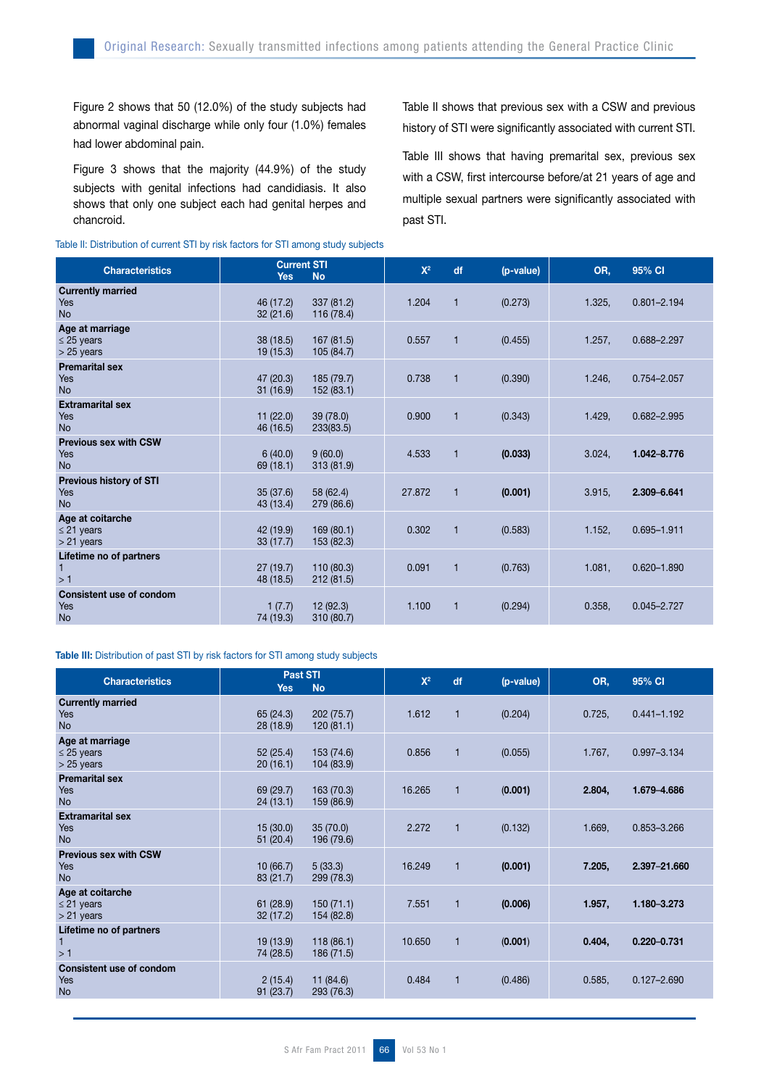Figure 2 shows that 50 (12.0%) of the study subjects had abnormal vaginal discharge while only four (1.0%) females had lower abdominal pain.

Figure 3 shows that the majority (44.9%) of the study subjects with genital infections had candidiasis. It also shows that only one subject each had genital herpes and chancroid.

Table II shows that previous sex with a CSW and previous history of STI were significantly associated with current STI.

Table III shows that having premarital sex, previous sex with a CSW, first intercourse before/at 21 years of age and multiple sexual partners were significantly associated with past STI.

#### Table II: Distribution of current STI by risk factors for STI among study subjects

| <b>Characteristics</b>                                    | <b>Current STI</b><br><b>Yes</b> | <b>No</b>                | $X^2$  | df           | (p-value) | OR,    | 95% CI          |
|-----------------------------------------------------------|----------------------------------|--------------------------|--------|--------------|-----------|--------|-----------------|
| <b>Currently married</b><br>Yes<br><b>No</b>              | 46 (17.2)<br>32(21.6)            | 337 (81.2)<br>116 (78.4) | 1.204  | $\mathbf{1}$ | (0.273)   | 1.325, | $0.801 - 2.194$ |
| Age at marriage<br>$\leq$ 25 years<br>$> 25$ years        | 38 (18.5)<br>19(15.3)            | 167 (81.5)<br>105(84.7)  | 0.557  | $\mathbf{1}$ | (0.455)   | 1.257, | 0.688-2.297     |
| <b>Premarital sex</b><br>Yes<br><b>No</b>                 | 47 (20.3)<br>31(16.9)            | 185 (79.7)<br>152(83.1)  | 0.738  | $\mathbf{1}$ | (0.390)   | 1.246, | 0.754-2.057     |
| <b>Extramarital sex</b><br><b>Yes</b><br><b>No</b>        | 11(22.0)<br>46 (16.5)            | 39 (78.0)<br>233(83.5)   | 0.900  | $\mathbf{1}$ | (0.343)   | 1.429, | 0.682-2.995     |
| <b>Previous sex with CSW</b><br>Yes<br><b>No</b>          | 6(40.0)<br>69 (18.1)             | 9(60.0)<br>313(81.9)     | 4.533  | $\mathbf{1}$ | (0.033)   | 3.024, | 1.042-8.776     |
| <b>Previous history of STI</b><br><b>Yes</b><br><b>No</b> | 35 (37.6)<br>43 (13.4)           | 58 (62.4)<br>279 (86.6)  | 27.872 | 1            | (0.001)   | 3.915. | 2.309-6.641     |
| Age at coitarche<br>$\leq$ 21 years<br>$> 21$ years       | 42 (19.9)<br>33(17.7)            | 169(80.1)<br>153 (82.3)  | 0.302  | $\mathbf{1}$ | (0.583)   | 1.152, | $0.695 - 1.911$ |
| Lifetime no of partners<br>>1                             | 27(19.7)<br>48 (18.5)            | 110(80.3)<br>212(81.5)   | 0.091  | $\mathbf{1}$ | (0.763)   | 1.081, | $0.620 - 1.890$ |
| <b>Consistent use of condom</b><br>Yes<br><b>No</b>       | 1(7.7)<br>74 (19.3)              | 12(92.3)<br>310 (80.7)   | 1.100  | $\mathbf{1}$ | (0.294)   | 0.358, | $0.045 - 2.727$ |

#### Table III: Distribution of past STI by risk factors for STI among study subjects

| <b>Characteristics</b>                              | <b>Past STI</b><br><b>Yes</b> | <b>No</b>                | $X^2$  | df           | (p-value) | OR,    | 95% CI          |
|-----------------------------------------------------|-------------------------------|--------------------------|--------|--------------|-----------|--------|-----------------|
| <b>Currently married</b><br><b>Yes</b><br><b>No</b> | 65 (24.3)<br>28 (18.9)        | 202(75.7)<br>120(81.1)   | 1.612  | $\mathbf{1}$ | (0.204)   | 0.725, | $0.441 - 1.192$ |
| Age at marriage<br>$\leq$ 25 years<br>$> 25$ years  | 52(25.4)<br>20(16.1)          | 153 (74.6)<br>104 (83.9) | 0.856  | $\mathbf{1}$ | (0.055)   | 1.767, | 0.997-3.134     |
| <b>Premarital sex</b><br>Yes<br><b>No</b>           | 69 (29.7)<br>24(13.1)         | 163 (70.3)<br>159 (86.9) | 16.265 | $\mathbf{1}$ | (0.001)   | 2.804, | 1.679-4.686     |
| <b>Extramarital sex</b><br>Yes<br><b>No</b>         | 15(30.0)<br>51(20.4)          | 35(70.0)<br>196 (79.6)   | 2.272  | $\mathbf{1}$ | (0.132)   | 1.669, | 0.853-3.266     |
| <b>Previous sex with CSW</b><br>Yes<br><b>No</b>    | 10(66.7)<br>83 (21.7)         | 5(33.3)<br>299 (78.3)    | 16.249 | $\mathbf{1}$ | (0.001)   | 7.205, | 2.397-21.660    |
| Age at coitarche<br>$\leq$ 21 years<br>$> 21$ years | 61(28.9)<br>32(17.2)          | 150(71.1)<br>154 (82.8)  | 7.551  | $\mathbf{1}$ | (0.006)   | 1.957, | 1.180-3.273     |
| Lifetime no of partners<br>>1                       | 19 (13.9)<br>74 (28.5)        | 118(86.1)<br>186(71.5)   | 10.650 | $\mathbf{1}$ | (0.001)   | 0.404, | $0.220 - 0.731$ |
| <b>Consistent use of condom</b><br>Yes<br><b>No</b> | 2(15.4)<br>91(23.7)           | 11(84.6)<br>293 (76.3)   | 0.484  | $\mathbf{1}$ | (0.486)   | 0.585, | $0.127 - 2.690$ |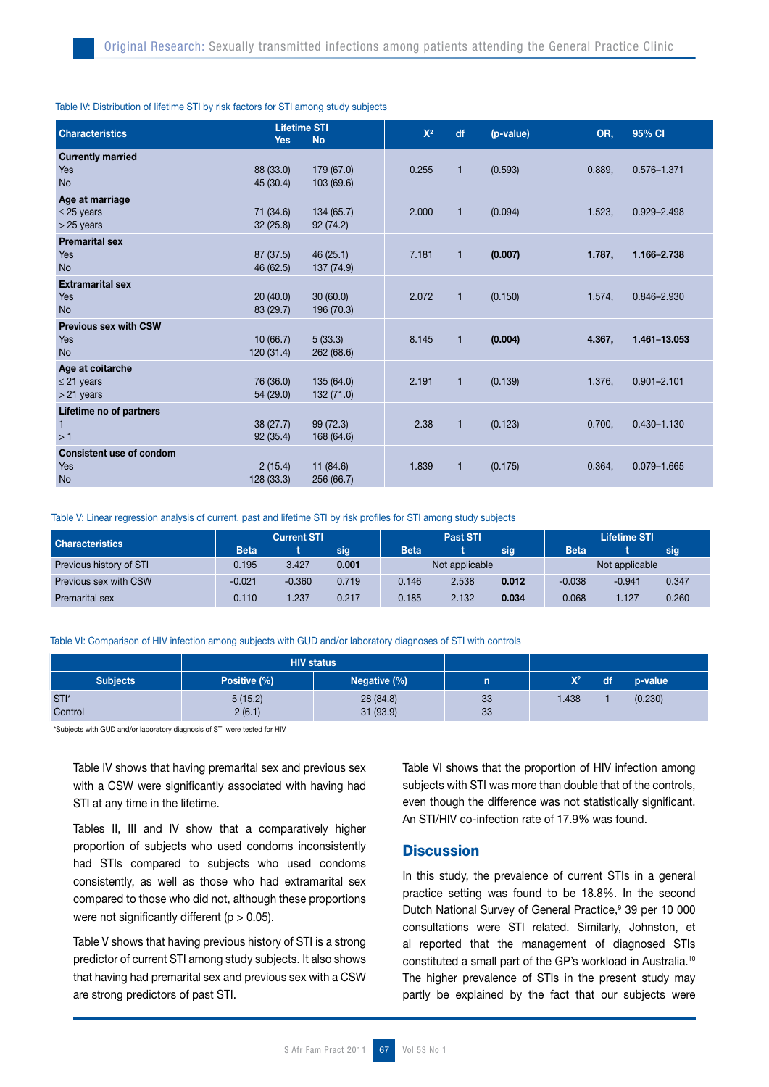#### Table IV: Distribution of lifetime STI by risk factors for STI among study subjects

| <b>Characteristics</b>                              | <b>Lifetime STI</b><br><b>Yes</b> | <b>No</b>                | $X^2$ | df           | (p-value) | OR,    | 95% CI          |
|-----------------------------------------------------|-----------------------------------|--------------------------|-------|--------------|-----------|--------|-----------------|
| <b>Currently married</b><br>Yes<br><b>No</b>        | 88 (33.0)<br>45 (30.4)            | 179 (67.0)<br>103 (69.6) | 0.255 | $\mathbf{1}$ | (0.593)   | 0.889, | 0.576-1.371     |
| Age at marriage<br>$\leq$ 25 years<br>$> 25$ years  | 71 (34.6)<br>32(25.8)             | 134(65.7)<br>92 (74.2)   | 2.000 | $\mathbf{1}$ | (0.094)   | 1.523, | 0.929-2.498     |
| <b>Premarital sex</b><br>Yes<br><b>No</b>           | 87 (37.5)<br>46 (62.5)            | 46(25.1)<br>137 (74.9)   | 7.181 | $\mathbf{1}$ | (0.007)   | 1.787, | 1.166-2.738     |
| <b>Extramarital sex</b><br>Yes<br><b>No</b>         | 20(40.0)<br>83 (29.7)             | 30(60.0)<br>196 (70.3)   | 2.072 | $\mathbf{1}$ | (0.150)   | 1.574, | 0.846-2.930     |
| Previous sex with CSW<br>Yes<br><b>No</b>           | 10(66.7)<br>120(31.4)             | 5(33.3)<br>262 (68.6)    | 8.145 | $\mathbf{1}$ | (0.004)   | 4.367, | 1.461-13.053    |
| Age at coitarche<br>$\leq$ 21 years<br>$> 21$ years | 76 (36.0)<br>54 (29.0)            | 135(64.0)<br>132(71.0)   | 2.191 | $\mathbf{1}$ | (0.139)   | 1.376, | $0.901 - 2.101$ |
| Lifetime no of partners<br>$\mathbf{1}$<br>>1       | 38(27.7)<br>92(35.4)              | 99 (72.3)<br>168 (64.6)  | 2.38  | $\mathbf{1}$ | (0.123)   | 0.700, | $0.430 - 1.130$ |
| <b>Consistent use of condom</b><br>Yes<br><b>No</b> | 2(15.4)<br>128 (33.3)             | 11(84.6)<br>256 (66.7)   | 1.839 | $\mathbf{1}$ | (0.175)   | 0.364, | 0.079-1.665     |

Table V: Linear regression analysis of current, past and lifetime STI by risk profiles for STI among study subjects

| <b>Characteristics</b>  | <b>Current STI</b> |          | Past STI |                |       | <b>Lifetime STI</b> |          |          |       |
|-------------------------|--------------------|----------|----------|----------------|-------|---------------------|----------|----------|-------|
|                         | <b>Beta</b>        |          | sig      | Beta           |       | sig                 | Beta'    |          | sig   |
| Previous history of STI | 0.195              | 3.427    | 0.001    | Not applicable |       | Not applicable      |          |          |       |
| Previous sex with CSW   | $-0.021$           | $-0.360$ | 0.719    | 0.146          | 2.538 | 0.012               | $-0.038$ | $-0.941$ | 0.347 |
| <b>Premarital sex</b>   | 0.110              | 1.237    | 0.217    | 0.185          | 2.132 | 0.034               | 0.068    | .127     | 0.260 |

Table VI: Comparison of HIV infection among subjects with GUD and/or laboratory diagnoses of STI with controls

|                    | <b>HIV status</b> |                        |          |                |    |         |
|--------------------|-------------------|------------------------|----------|----------------|----|---------|
| <b>Subjects</b>    | Positive (%)      | Negative (%)           |          | $\mathbf{Y}^2$ | df | p-value |
| $STI^*$<br>Control | 5(15.2)<br>2(6.1) | 28 (84.8)<br>31 (93.9) | 33<br>33 | 1.438          |    | (0.230) |

\*Subjects with GUD and/or laboratory diagnosis of STI were tested for HIV

Table IV shows that having premarital sex and previous sex with a CSW were significantly associated with having had STI at any time in the lifetime.

Tables II, III and IV show that a comparatively higher proportion of subjects who used condoms inconsistently had STIs compared to subjects who used condoms consistently, as well as those who had extramarital sex compared to those who did not, although these proportions were not significantly different ( $p > 0.05$ ).

Table V shows that having previous history of STI is a strong predictor of current STI among study subjects. It also shows that having had premarital sex and previous sex with a CSW are strong predictors of past STI.

Table VI shows that the proportion of HIV infection among subjects with STI was more than double that of the controls, even though the difference was not statistically significant. An STI/HIV co-infection rate of 17.9% was found.

#### **Discussion**

In this study, the prevalence of current STIs in a general practice setting was found to be 18.8%. In the second Dutch National Survey of General Practice,<sup>9</sup> 39 per 10 000 consultations were STI related. Similarly, Johnston, et al reported that the management of diagnosed STIs constituted a small part of the GP's workload in Australia.10 The higher prevalence of STIs in the present study may partly be explained by the fact that our subjects were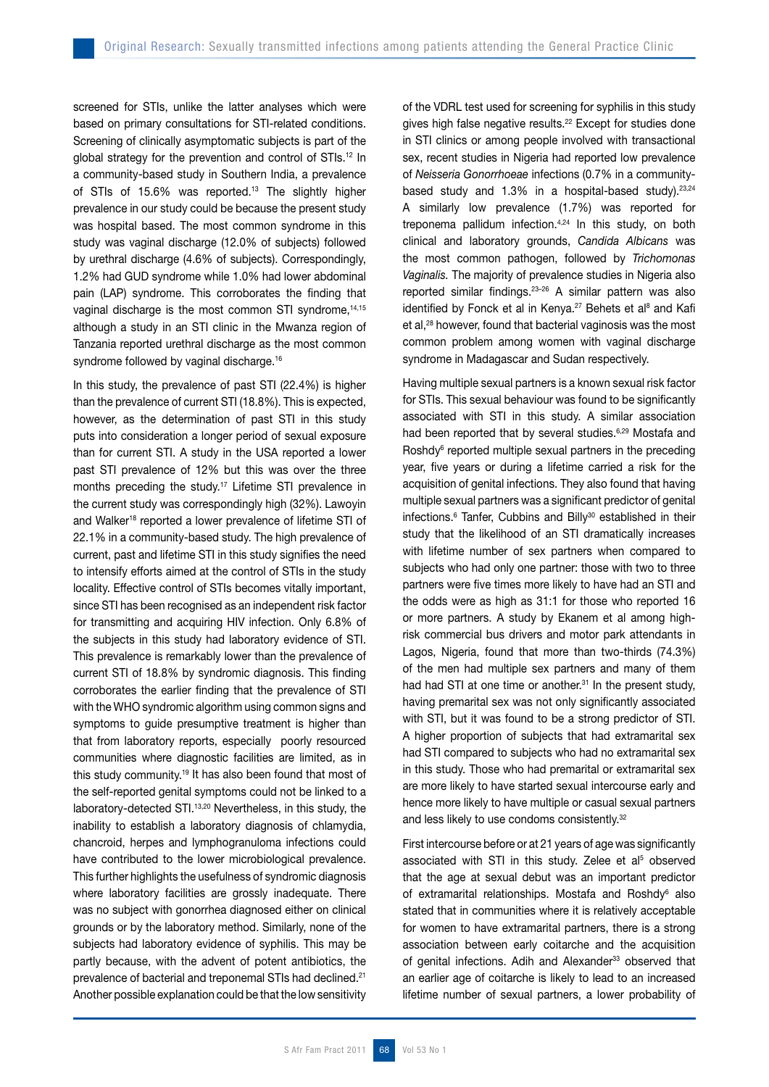screened for STIs, unlike the latter analyses which were based on primary consultations for STI-related conditions. Screening of clinically asymptomatic subjects is part of the global strategy for the prevention and control of STIs.12 In a community-based study in Southern India, a prevalence of STIs of 15.6% was reported.<sup>13</sup> The slightly higher prevalence in our study could be because the present study was hospital based. The most common syndrome in this study was vaginal discharge (12.0% of subjects) followed by urethral discharge (4.6% of subjects). Correspondingly, 1.2% had GUD syndrome while 1.0% had lower abdominal pain (LAP) syndrome. This corroborates the finding that vaginal discharge is the most common STI syndrome,<sup>14,15</sup> although a study in an STI clinic in the Mwanza region of Tanzania reported urethral discharge as the most common syndrome followed by vaginal discharge.<sup>16</sup>

In this study, the prevalence of past STI (22.4%) is higher than the prevalence of current STI (18.8%). This is expected, however, as the determination of past STI in this study puts into consideration a longer period of sexual exposure than for current STI. A study in the USA reported a lower past STI prevalence of 12% but this was over the three months preceding the study.17 Lifetime STI prevalence in the current study was correspondingly high (32%). Lawoyin and Walker<sup>18</sup> reported a lower prevalence of lifetime STI of 22.1% in a community-based study. The high prevalence of current, past and lifetime STI in this study signifies the need to intensify efforts aimed at the control of STIs in the study locality. Effective control of STIs becomes vitally important, since STI has been recognised as an independent risk factor for transmitting and acquiring HIV infection. Only 6.8% of the subjects in this study had laboratory evidence of STI. This prevalence is remarkably lower than the prevalence of current STI of 18.8% by syndromic diagnosis. This finding corroborates the earlier finding that the prevalence of STI with the WHO syndromic algorithm using common signs and symptoms to guide presumptive treatment is higher than that from laboratory reports, especially poorly resourced communities where diagnostic facilities are limited, as in this study community.19 It has also been found that most of the self-reported genital symptoms could not be linked to a laboratory-detected STI.<sup>13,20</sup> Nevertheless, in this study, the inability to establish a laboratory diagnosis of chlamydia, chancroid, herpes and lymphogranuloma infections could have contributed to the lower microbiological prevalence. This further highlights the usefulness of syndromic diagnosis where laboratory facilities are grossly inadequate. There was no subject with gonorrhea diagnosed either on clinical grounds or by the laboratory method. Similarly, none of the subjects had laboratory evidence of syphilis. This may be partly because, with the advent of potent antibiotics, the prevalence of bacterial and treponemal STIs had declined.<sup>21</sup> Another possible explanation could be that the low sensitivity of the VDRL test used for screening for syphilis in this study gives high false negative results.<sup>22</sup> Except for studies done in STI clinics or among people involved with transactional sex, recent studies in Nigeria had reported low prevalence of *Neisseria Gonorrhoeae* infections (0.7% in a communitybased study and 1.3% in a hospital-based study).<sup>23,24</sup> A similarly low prevalence (1.7%) was reported for treponema pallidum infection.<sup>4,24</sup> In this study, on both clinical and laboratory grounds, *Candida Albicans* was the most common pathogen, followed by *Trichomonas Vaginalis.* The majority of prevalence studies in Nigeria also reported similar findings.23–26 A similar pattern was also identified by Fonck et al in Kenya.<sup>27</sup> Behets et al<sup>8</sup> and Kafi et al,<sup>28</sup> however, found that bacterial vaginosis was the most common problem among women with vaginal discharge syndrome in Madagascar and Sudan respectively.

Having multiple sexual partners is a known sexual risk factor for STIs. This sexual behaviour was found to be significantly associated with STI in this study. A similar association had been reported that by several studies.<sup>6,29</sup> Mostafa and Roshdy<sup>6</sup> reported multiple sexual partners in the preceding year, five years or during a lifetime carried a risk for the acquisition of genital infections. They also found that having multiple sexual partners was a significant predictor of genital infections.<sup>6</sup> Tanfer, Cubbins and Billy<sup>30</sup> established in their study that the likelihood of an STI dramatically increases with lifetime number of sex partners when compared to subjects who had only one partner: those with two to three partners were five times more likely to have had an STI and the odds were as high as 31:1 for those who reported 16 or more partners. A study by Ekanem et al among highrisk commercial bus drivers and motor park attendants in Lagos, Nigeria, found that more than two-thirds (74.3%) of the men had multiple sex partners and many of them had had STI at one time or another.<sup>31</sup> In the present study, having premarital sex was not only significantly associated with STI, but it was found to be a strong predictor of STI. A higher proportion of subjects that had extramarital sex had STI compared to subjects who had no extramarital sex in this study. Those who had premarital or extramarital sex are more likely to have started sexual intercourse early and hence more likely to have multiple or casual sexual partners and less likely to use condoms consistently.<sup>32</sup>

First intercourse before or at 21 years of age was significantly associated with STI in this study. Zelee et al<sup>5</sup> observed that the age at sexual debut was an important predictor of extramarital relationships. Mostafa and Roshdy<sup>6</sup> also stated that in communities where it is relatively acceptable for women to have extramarital partners, there is a strong association between early coitarche and the acquisition of genital infections. Adih and Alexander<sup>33</sup> observed that an earlier age of coitarche is likely to lead to an increased lifetime number of sexual partners, a lower probability of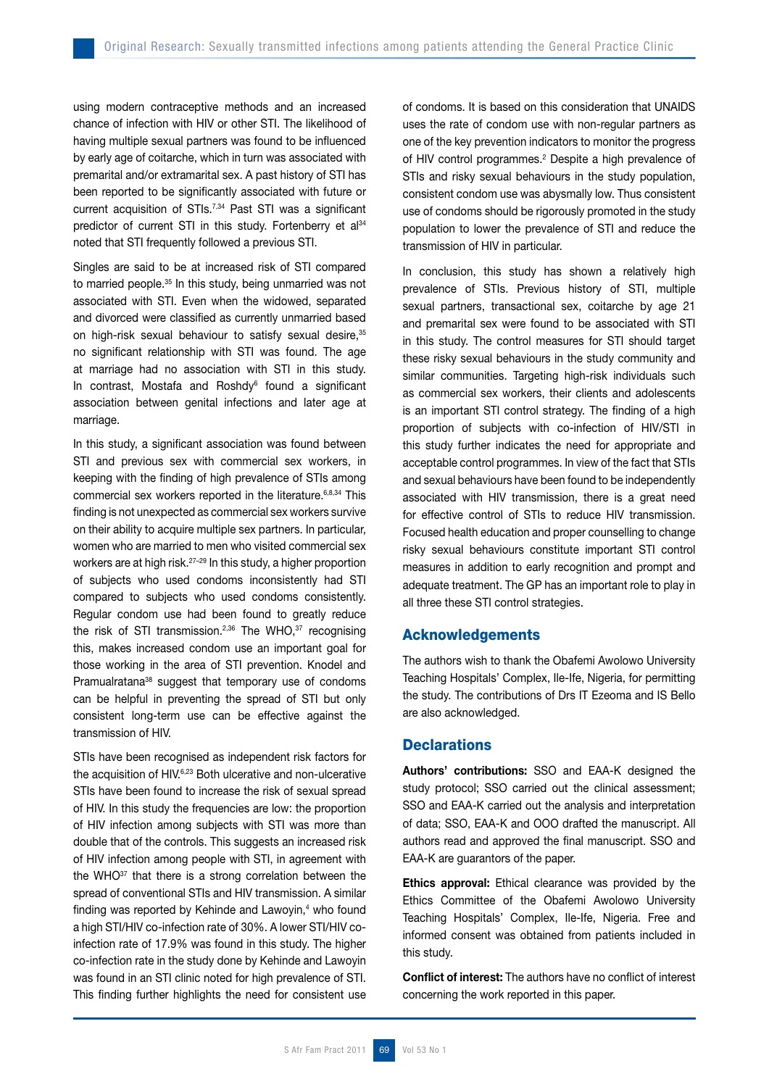using modern contraceptive methods and an increased chance of infection with HIV or other STI. The likelihood of having multiple sexual partners was found to be influenced by early age of coitarche, which in turn was associated with premarital and/or extramarital sex. A past history of STI has been reported to be significantly associated with future or current acquisition of STIs.7,34 Past STI was a significant predictor of current STI in this study. Fortenberry et al<sup>34</sup> noted that STI frequently followed a previous STI.

Singles are said to be at increased risk of STI compared to married people.<sup>35</sup> In this study, being unmarried was not associated with STI. Even when the widowed, separated and divorced were classified as currently unmarried based on high-risk sexual behaviour to satisfy sexual desire, 35 no significant relationship with STI was found. The age at marriage had no association with STI in this study. In contrast, Mostafa and Roshdy<sup>6</sup> found a significant association between genital infections and later age at marriage.

In this study, a significant association was found between STI and previous sex with commercial sex workers, in keeping with the finding of high prevalence of STIs among commercial sex workers reported in the literature.6,8,34 This finding is not unexpected as commercial sex workers survive on their ability to acquire multiple sex partners. In particular, women who are married to men who visited commercial sex workers are at high risk.27–29 In this study, a higher proportion of subjects who used condoms inconsistently had STI compared to subjects who used condoms consistently. Regular condom use had been found to greatly reduce the risk of STI transmission.<sup>2,36</sup> The WHO.<sup>37</sup> recognising this, makes increased condom use an important goal for those working in the area of STI prevention. Knodel and Pramualratana<sup>38</sup> suggest that temporary use of condoms can be helpful in preventing the spread of STI but only consistent long-term use can be effective against the transmission of HIV.

STIs have been recognised as independent risk factors for the acquisition of HIV.<sup>6,23</sup> Both ulcerative and non-ulcerative STIs have been found to increase the risk of sexual spread of HIV. In this study the frequencies are low: the proportion of HIV infection among subjects with STI was more than double that of the controls. This suggests an increased risk of HIV infection among people with STI, in agreement with the WHO<sup>37</sup> that there is a strong correlation between the spread of conventional STIs and HIV transmission. A similar finding was reported by Kehinde and Lawoyin,<sup>4</sup> who found a high STI/HIV co-infection rate of 30%. A lower STI/HIV coinfection rate of 17.9% was found in this study. The higher co-infection rate in the study done by Kehinde and Lawoyin was found in an STI clinic noted for high prevalence of STI. This finding further highlights the need for consistent use

of condoms. It is based on this consideration that UNAIDS uses the rate of condom use with non-regular partners as one of the key prevention indicators to monitor the progress of HIV control programmes.<sup>2</sup> Despite a high prevalence of STIs and risky sexual behaviours in the study population, consistent condom use was abysmally low. Thus consistent use of condoms should be rigorously promoted in the study population to lower the prevalence of STI and reduce the transmission of HIV in particular.

In conclusion, this study has shown a relatively high prevalence of STIs. Previous history of STI, multiple sexual partners, transactional sex, coitarche by age 21 and premarital sex were found to be associated with STI in this study. The control measures for STI should target these risky sexual behaviours in the study community and similar communities. Targeting high-risk individuals such as commercial sex workers, their clients and adolescents is an important STI control strategy. The finding of a high proportion of subjects with co-infection of HIV/STI in this study further indicates the need for appropriate and acceptable control programmes. In view of the fact that STIs and sexual behaviours have been found to be independently associated with HIV transmission, there is a great need for effective control of STIs to reduce HIV transmission. Focused health education and proper counselling to change risky sexual behaviours constitute important STI control measures in addition to early recognition and prompt and adequate treatment. The GP has an important role to play in all three these STI control strategies.

### Acknowledgements

The authors wish to thank the Obafemi Awolowo University Teaching Hospitals' Complex, Ile-Ife, Nigeria, for permitting the study. The contributions of Drs IT Ezeoma and IS Bello are also acknowledged.

#### **Declarations**

Authors' contributions: SSO and EAA-K designed the study protocol; SSO carried out the clinical assessment; SSO and EAA-K carried out the analysis and interpretation of data; SSO, EAA-K and OOO drafted the manuscript. All authors read and approved the final manuscript. SSO and EAA-K are guarantors of the paper.

Ethics approval: Ethical clearance was provided by the Ethics Committee of the Obafemi Awolowo University Teaching Hospitals' Complex, Ile-Ife, Nigeria. Free and informed consent was obtained from patients included in this study.

Conflict of interest: The authors have no conflict of interest concerning the work reported in this paper.